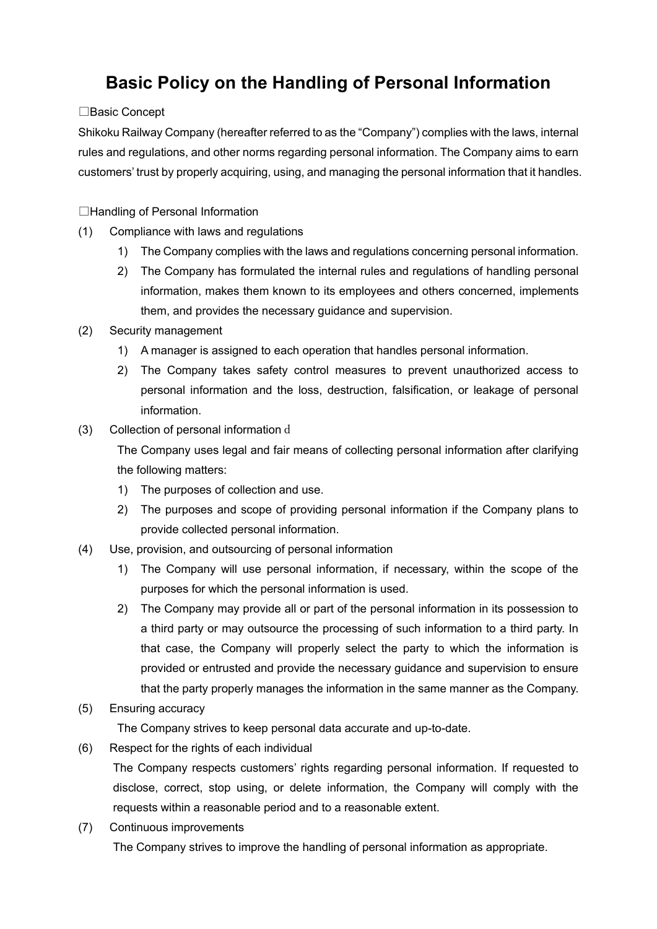# **Basic Policy on the Handling of Personal Information**

## □Basic Concept

Shikoku Railway Company (hereafter referred to as the "Company") complies with the laws, internal rules and regulations, and other norms regarding personal information. The Company aims to earn customers' trust by properly acquiring, using, and managing the personal information that it handles.

□Handling of Personal Information

- (1) Compliance with laws and regulations
	- 1) The Company complies with the laws and regulations concerning personal information.
	- 2) The Company has formulated the internal rules and regulations of handling personal information, makes them known to its employees and others concerned, implements them, and provides the necessary guidance and supervision.
- (2) Security management
	- 1) A manager is assigned to each operation that handles personal information.
	- 2) The Company takes safety control measures to prevent unauthorized access to personal information and the loss, destruction, falsification, or leakage of personal information.
- (3) Collection of personal information d

The Company uses legal and fair means of collecting personal information after clarifying the following matters:

- 1) The purposes of collection and use.
- 2) The purposes and scope of providing personal information if the Company plans to provide collected personal information.
- (4) Use, provision, and outsourcing of personal information
	- 1) The Company will use personal information, if necessary, within the scope of the purposes for which the personal information is used.
	- 2) The Company may provide all or part of the personal information in its possession to a third party or may outsource the processing of such information to a third party. In that case, the Company will properly select the party to which the information is provided or entrusted and provide the necessary guidance and supervision to ensure that the party properly manages the information in the same manner as the Company.

## (5) Ensuring accuracy

The Company strives to keep personal data accurate and up-to-date.

(6) Respect for the rights of each individual

The Company respects customers' rights regarding personal information. If requested to disclose, correct, stop using, or delete information, the Company will comply with the requests within a reasonable period and to a reasonable extent.

(7) Continuous improvements

The Company strives to improve the handling of personal information as appropriate.